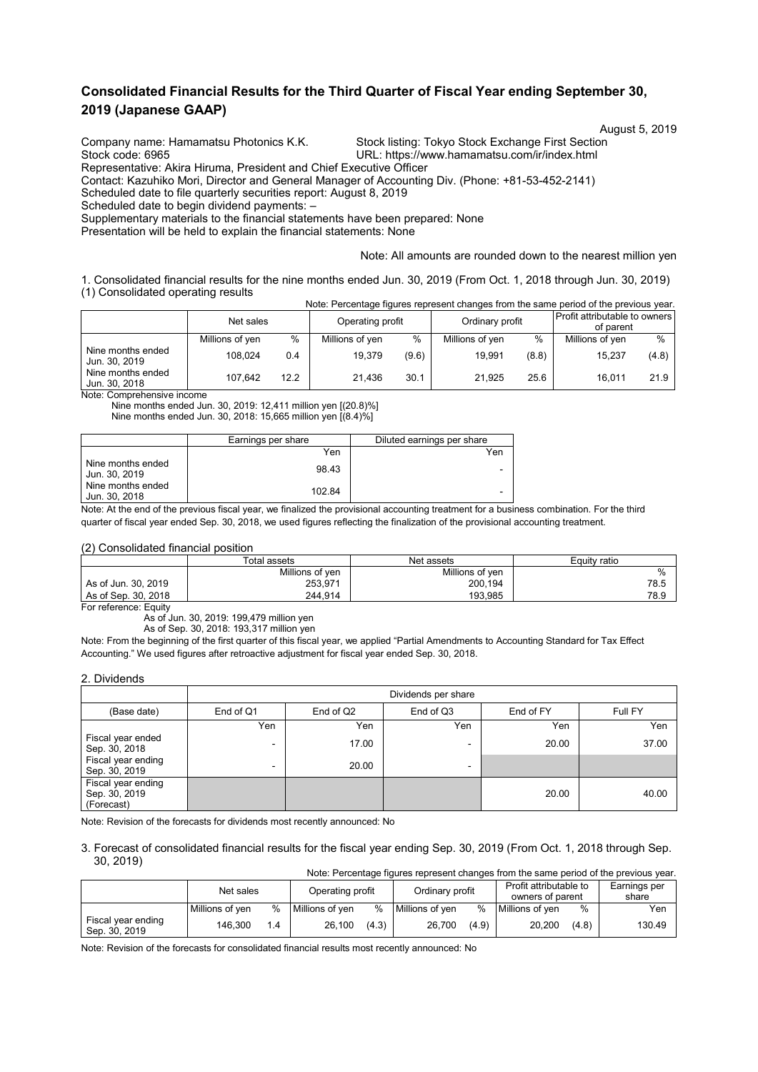# **Consolidated Financial Results for the Third Quarter of Fiscal Year ending September 30, 2019 (Japanese GAAP)**

Stock code: 6965 URL: https://www.hamamatsu.com/ir/index.html

August 5, 2019<br>Company name: Hamamatsu Photonics K.K. Stock listing: Tokyo Stock Exchange First Section Stock listing: Tokyo Stock Exchange First Section

Representative: Akira Hiruma, President and Chief Executive Officer

Contact: Kazuhiko Mori, Director and General Manager of Accounting Div. (Phone: +81-53-452-2141)

Scheduled date to file quarterly securities report: August 8, 2019

Scheduled date to begin dividend payments: –

Supplementary materials to the financial statements have been prepared: None

Presentation will be held to explain the financial statements: None

#### Note: All amounts are rounded down to the nearest million yen

1. Consolidated financial results for the nine months ended Jun. 30, 2019 (From Oct. 1, 2018 through Jun. 30, 2019) (1) Consolidated operating results Note: Percentage figures represent changes from the same period of the previous year.

|                                    | <u>NULC. I CIUCHIQUE HUUICS TEDICSCHI UHAHUES HUIH IHE SAHIE DEHUU UHIIE DIEVIUUS VEAL.</u> |      |                  |       |                 |       |                                            |               |
|------------------------------------|---------------------------------------------------------------------------------------------|------|------------------|-------|-----------------|-------|--------------------------------------------|---------------|
|                                    | Net sales                                                                                   |      | Operating profit |       | Ordinary profit |       | Profit attributable to owners<br>of parent |               |
|                                    | Millions of yen                                                                             | $\%$ | Millions of yen  | $\%$  | Millions of yen | %     | Millions of yen                            | $\frac{0}{0}$ |
| Nine months ended<br>Jun. 30, 2019 | 108.024                                                                                     | 0.4  | 19.379           | (9.6) | 19.991          | (8.8) | 15.237                                     | (4.8)         |
| Nine months ended<br>Jun. 30, 2018 | 107.642                                                                                     | 12.2 | 21.436           | 30.1  | 21.925          | 25.6  | 16.011                                     | 21.9          |

Note: Comprehensive income

Nine months ended Jun. 30, 2019: 12,411 million yen [(20.8)%] Nine months ended Jun. 30, 2018: 15,665 million yen [(8.4)%]

|                                    | Earnings per share | Diluted earnings per share |
|------------------------------------|--------------------|----------------------------|
|                                    | Yen                | Yen                        |
| Nine months ended<br>Jun. 30, 2019 | 98.43              | -                          |
| Nine months ended<br>Jun. 30, 2018 | 102.84             | -                          |

Note: At the end of the previous fiscal year, we finalized the provisional accounting treatment for a business combination. For the third quarter of fiscal year ended Sep. 30, 2018, we used figures reflecting the finalization of the provisional accounting treatment.

#### (2) Consolidated financial position

|                     | Total assets    | Equity ratio    |      |
|---------------------|-----------------|-----------------|------|
|                     | Millions of yen | Millions of yen | $\%$ |
| As of Jun. 30, 2019 | 253,971         | 200,194         | 78.5 |
| As of Sep. 30, 2018 | 244.914         | 193.985         | 78.9 |

For reference: Equity

As of Jun. 30, 2019: 199,479 million yen

As of Sep. 30, 2018: 193,317 million yen

Note: From the beginning of the first quarter of this fiscal year, we applied "Partial Amendments to Accounting Standard for Tax Effect Accounting." We used figures after retroactive adjustment for fiscal year ended Sep. 30, 2018.

#### 2. Dividends

|                                                   | Dividends per share |                       |           |         |       |  |  |  |  |
|---------------------------------------------------|---------------------|-----------------------|-----------|---------|-------|--|--|--|--|
| (Base date)                                       | End of Q1           | End of Q <sub>2</sub> | End of FY | Full FY |       |  |  |  |  |
|                                                   | Yen                 | Yen                   | Yen       | Yen     | Yen   |  |  |  |  |
| Fiscal year ended<br>Sep. 30, 2018                | $\,$                | 17.00                 | -         | 20.00   | 37.00 |  |  |  |  |
| Fiscal year ending<br>Sep. 30, 2019               | $\blacksquare$      | 20.00                 | -         |         |       |  |  |  |  |
| Fiscal year ending<br>Sep. 30, 2019<br>(Forecast) |                     |                       |           | 20.00   | 40.00 |  |  |  |  |

Note: Revision of the forecasts for dividends most recently announced: No

#### 3. Forecast of consolidated financial results for the fiscal year ending Sep. 30, 2019 (From Oct. 1, 2018 through Sep. 30, 2019) Note: Percentage figures represent changes from the same period of the previous year.

|                                     | moto. I croomago ilgarco represent onanges from the same penoa or the previous year. |      |                  |       |                 |       |                                            |       |                       |
|-------------------------------------|--------------------------------------------------------------------------------------|------|------------------|-------|-----------------|-------|--------------------------------------------|-------|-----------------------|
|                                     | Net sales                                                                            |      | Operating profit |       | Ordinary profit |       | Profit attributable to<br>owners of parent |       | Earnings per<br>share |
|                                     |                                                                                      |      |                  |       |                 |       |                                            |       |                       |
|                                     | Millions of ven                                                                      | $\%$ | Millions of ven  | $\%$  | Millions of ven | $\%$  | Millions of ven                            | %     | Yen                   |
| Fiscal year ending<br>Sep. 30, 2019 | 146.300                                                                              | 1.4  | 26.100           | (4.3) | 26,700          | (4.9) | 20.200                                     | (4.8) | 130.49                |

Note: Revision of the forecasts for consolidated financial results most recently announced: No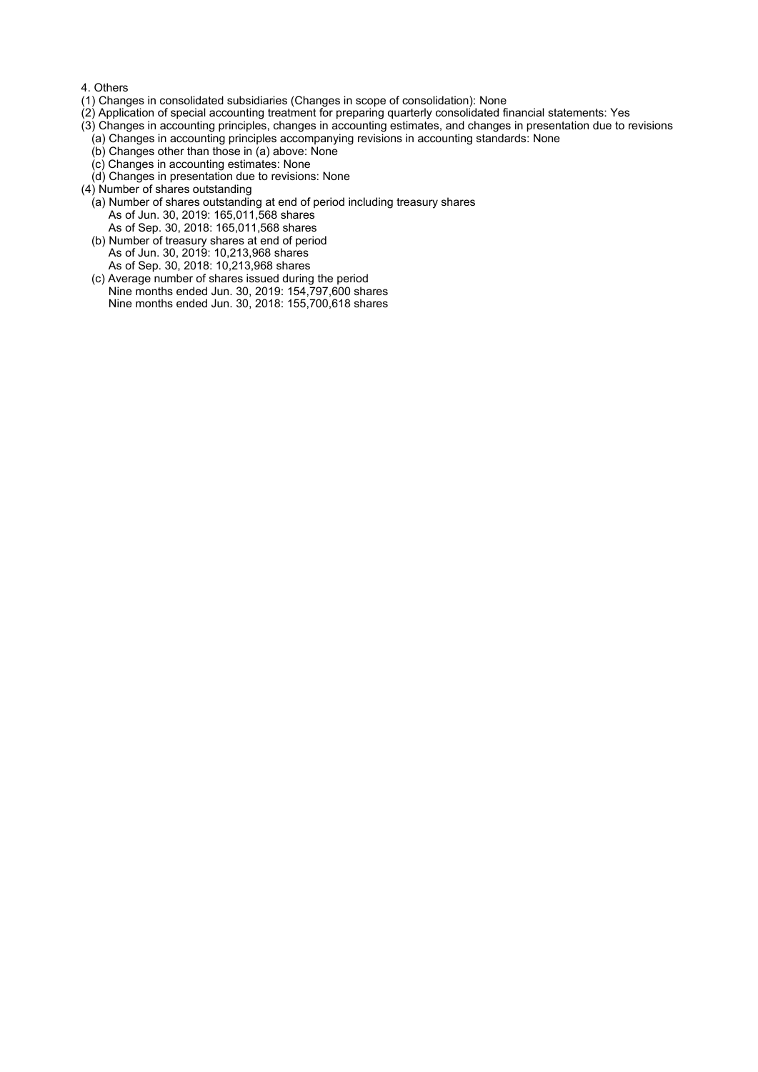### 4. Others

- (1) Changes in consolidated subsidiaries (Changes in scope of consolidation): None
- (2) Application of special accounting treatment for preparing quarterly consolidated financial statements: Yes
- (3) Changes in accounting principles, changes in accounting estimates, and changes in presentation due to revisions
- (a) Changes in accounting principles accompanying revisions in accounting standards: None
- (b) Changes other than those in (a) above: None (c) Changes in accounting estimates: None
- (d) Changes in presentation due to revisions: None
- (4) Number of shares outstanding
	- (a) Number of shares outstanding at end of period including treasury shares As of Jun. 30, 2019: 165,011,568 shares As of Sep. 30, 2018: 165,011,568 shares
	- (b) Number of treasury shares at end of period As of Jun. 30, 2019: 10,213,968 shares As of Sep. 30, 2018: 10,213,968 shares
	- (c) Average number of shares issued during the period Nine months ended Jun. 30, 2019: 154,797,600 shares Nine months ended Jun. 30, 2018: 155,700,618 shares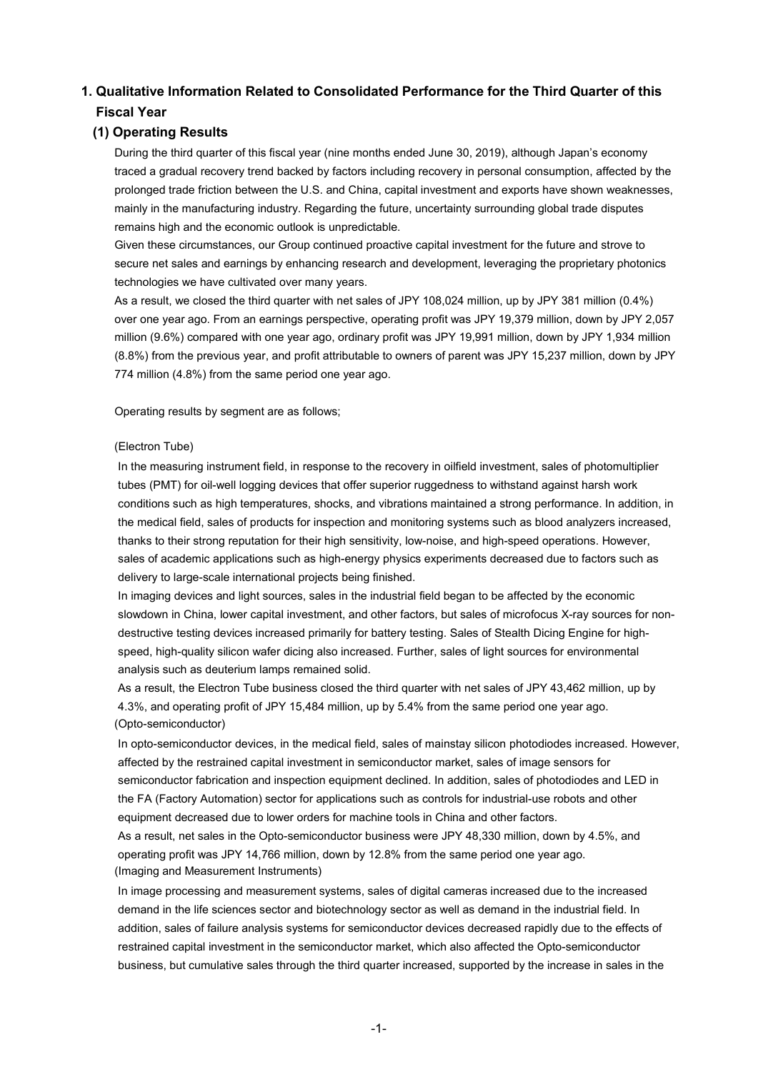# **1. Qualitative Information Related to Consolidated Performance for the Third Quarter of this Fiscal Year**

## **(1) Operating Results**

During the third quarter of this fiscal year (nine months ended June 30, 2019), although Japan's economy traced a gradual recovery trend backed by factors including recovery in personal consumption, affected by the prolonged trade friction between the U.S. and China, capital investment and exports have shown weaknesses, mainly in the manufacturing industry. Regarding the future, uncertainty surrounding global trade disputes remains high and the economic outlook is unpredictable.

Given these circumstances, our Group continued proactive capital investment for the future and strove to secure net sales and earnings by enhancing research and development, leveraging the proprietary photonics technologies we have cultivated over many years.

As a result, we closed the third quarter with net sales of JPY 108,024 million, up by JPY 381 million (0.4%) over one year ago. From an earnings perspective, operating profit was JPY 19,379 million, down by JPY 2,057 million (9.6%) compared with one year ago, ordinary profit was JPY 19,991 million, down by JPY 1,934 million (8.8%) from the previous year, and profit attributable to owners of parent was JPY 15,237 million, down by JPY 774 million (4.8%) from the same period one year ago.

Operating results by segment are as follows;

### (Electron Tube)

In the measuring instrument field, in response to the recovery in oilfield investment, sales of photomultiplier tubes (PMT) for oil-well logging devices that offer superior ruggedness to withstand against harsh work conditions such as high temperatures, shocks, and vibrations maintained a strong performance. In addition, in the medical field, sales of products for inspection and monitoring systems such as blood analyzers increased, thanks to their strong reputation for their high sensitivity, low-noise, and high-speed operations. However, sales of academic applications such as high-energy physics experiments decreased due to factors such as delivery to large-scale international projects being finished.

In imaging devices and light sources, sales in the industrial field began to be affected by the economic slowdown in China, lower capital investment, and other factors, but sales of microfocus X-ray sources for nondestructive testing devices increased primarily for battery testing. Sales of Stealth Dicing Engine for highspeed, high-quality silicon wafer dicing also increased. Further, sales of light sources for environmental analysis such as deuterium lamps remained solid.

As a result, the Electron Tube business closed the third quarter with net sales of JPY 43,462 million, up by 4.3%, and operating profit of JPY 15,484 million, up by 5.4% from the same period one year ago. (Opto-semiconductor)

In opto-semiconductor devices, in the medical field, sales of mainstay silicon photodiodes increased. However, affected by the restrained capital investment in semiconductor market, sales of image sensors for semiconductor fabrication and inspection equipment declined. In addition, sales of photodiodes and LED in the FA (Factory Automation) sector for applications such as controls for industrial-use robots and other equipment decreased due to lower orders for machine tools in China and other factors.

As a result, net sales in the Opto-semiconductor business were JPY 48,330 million, down by 4.5%, and operating profit was JPY 14,766 million, down by 12.8% from the same period one year ago. (Imaging and Measurement Instruments)

In image processing and measurement systems, sales of digital cameras increased due to the increased demand in the life sciences sector and biotechnology sector as well as demand in the industrial field. In addition, sales of failure analysis systems for semiconductor devices decreased rapidly due to the effects of restrained capital investment in the semiconductor market, which also affected the Opto-semiconductor business, but cumulative sales through the third quarter increased, supported by the increase in sales in the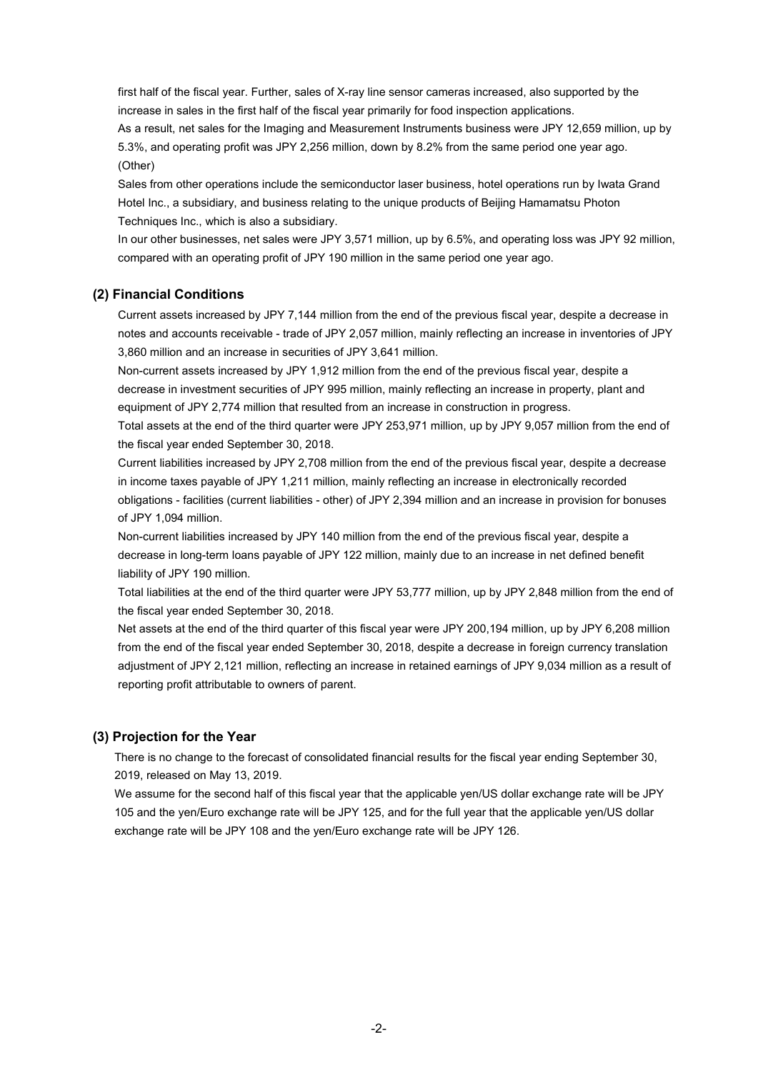first half of the fiscal year. Further, sales of X-ray line sensor cameras increased, also supported by the increase in sales in the first half of the fiscal year primarily for food inspection applications.

As a result, net sales for the Imaging and Measurement Instruments business were JPY 12,659 million, up by 5.3%, and operating profit was JPY 2,256 million, down by 8.2% from the same period one year ago. (Other)

Sales from other operations include the semiconductor laser business, hotel operations run by Iwata Grand Hotel Inc., a subsidiary, and business relating to the unique products of Beijing Hamamatsu Photon Techniques Inc., which is also a subsidiary.

In our other businesses, net sales were JPY 3,571 million, up by 6.5%, and operating loss was JPY 92 million, compared with an operating profit of JPY 190 million in the same period one year ago.

### **(2) Financial Conditions**

Current assets increased by JPY 7,144 million from the end of the previous fiscal year, despite a decrease in notes and accounts receivable - trade of JPY 2,057 million, mainly reflecting an increase in inventories of JPY 3,860 million and an increase in securities of JPY 3,641 million.

Non-current assets increased by JPY 1,912 million from the end of the previous fiscal year, despite a decrease in investment securities of JPY 995 million, mainly reflecting an increase in property, plant and equipment of JPY 2,774 million that resulted from an increase in construction in progress.

Total assets at the end of the third quarter were JPY 253,971 million, up by JPY 9,057 million from the end of the fiscal year ended September 30, 2018.

Current liabilities increased by JPY 2,708 million from the end of the previous fiscal year, despite a decrease in income taxes payable of JPY 1,211 million, mainly reflecting an increase in electronically recorded obligations - facilities (current liabilities - other) of JPY 2,394 million and an increase in provision for bonuses of JPY 1,094 million.

Non-current liabilities increased by JPY 140 million from the end of the previous fiscal year, despite a decrease in long-term loans payable of JPY 122 million, mainly due to an increase in net defined benefit liability of JPY 190 million.

Total liabilities at the end of the third quarter were JPY 53,777 million, up by JPY 2,848 million from the end of the fiscal year ended September 30, 2018.

Net assets at the end of the third quarter of this fiscal year were JPY 200,194 million, up by JPY 6,208 million from the end of the fiscal year ended September 30, 2018, despite a decrease in foreign currency translation adjustment of JPY 2,121 million, reflecting an increase in retained earnings of JPY 9,034 million as a result of reporting profit attributable to owners of parent.

### **(3) Projection for the Year**

There is no change to the forecast of consolidated financial results for the fiscal year ending September 30, 2019, released on May 13, 2019.

We assume for the second half of this fiscal year that the applicable yen/US dollar exchange rate will be JPY 105 and the yen/Euro exchange rate will be JPY 125, and for the full year that the applicable yen/US dollar exchange rate will be JPY 108 and the yen/Euro exchange rate will be JPY 126.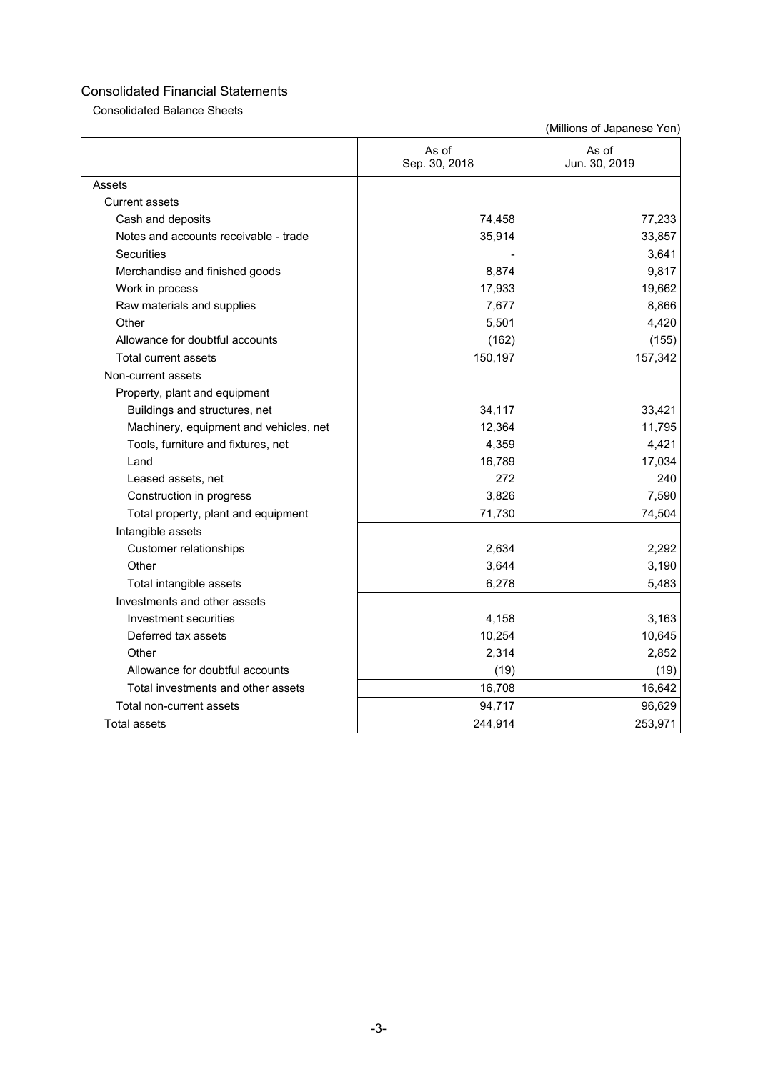Consolidated Balance Sheets

|                                        | As of<br>Sep. 30, 2018 | As of<br>Jun. 30, 2019 |
|----------------------------------------|------------------------|------------------------|
| Assets                                 |                        |                        |
| <b>Current assets</b>                  |                        |                        |
| Cash and deposits                      | 74,458                 | 77,233                 |
| Notes and accounts receivable - trade  | 35,914                 | 33,857                 |
| <b>Securities</b>                      |                        | 3,641                  |
| Merchandise and finished goods         | 8,874                  | 9,817                  |
| Work in process                        | 17,933                 | 19,662                 |
| Raw materials and supplies             | 7,677                  | 8,866                  |
| Other                                  | 5,501                  | 4,420                  |
| Allowance for doubtful accounts        | (162)                  | (155)                  |
| Total current assets                   | 150,197                | 157,342                |
| Non-current assets                     |                        |                        |
| Property, plant and equipment          |                        |                        |
| Buildings and structures, net          | 34,117                 | 33,421                 |
| Machinery, equipment and vehicles, net | 12,364                 | 11,795                 |
| Tools, furniture and fixtures, net     | 4,359                  | 4,421                  |
| Land                                   | 16,789                 | 17,034                 |
| Leased assets, net                     | 272                    | 240                    |
| Construction in progress               | 3,826                  | 7,590                  |
| Total property, plant and equipment    | 71,730                 | 74,504                 |
| Intangible assets                      |                        |                        |
| <b>Customer relationships</b>          | 2,634                  | 2,292                  |
| Other                                  | 3,644                  | 3,190                  |
| Total intangible assets                | 6,278                  | 5,483                  |
| Investments and other assets           |                        |                        |
| Investment securities                  | 4,158                  | 3,163                  |
| Deferred tax assets                    | 10,254                 | 10,645                 |
| Other                                  | 2,314                  | 2,852                  |
| Allowance for doubtful accounts        | (19)                   | (19)                   |
| Total investments and other assets     | 16,708                 | 16,642                 |
| Total non-current assets               | 94,717                 | 96,629                 |
| <b>Total assets</b>                    | 244,914                | 253,971                |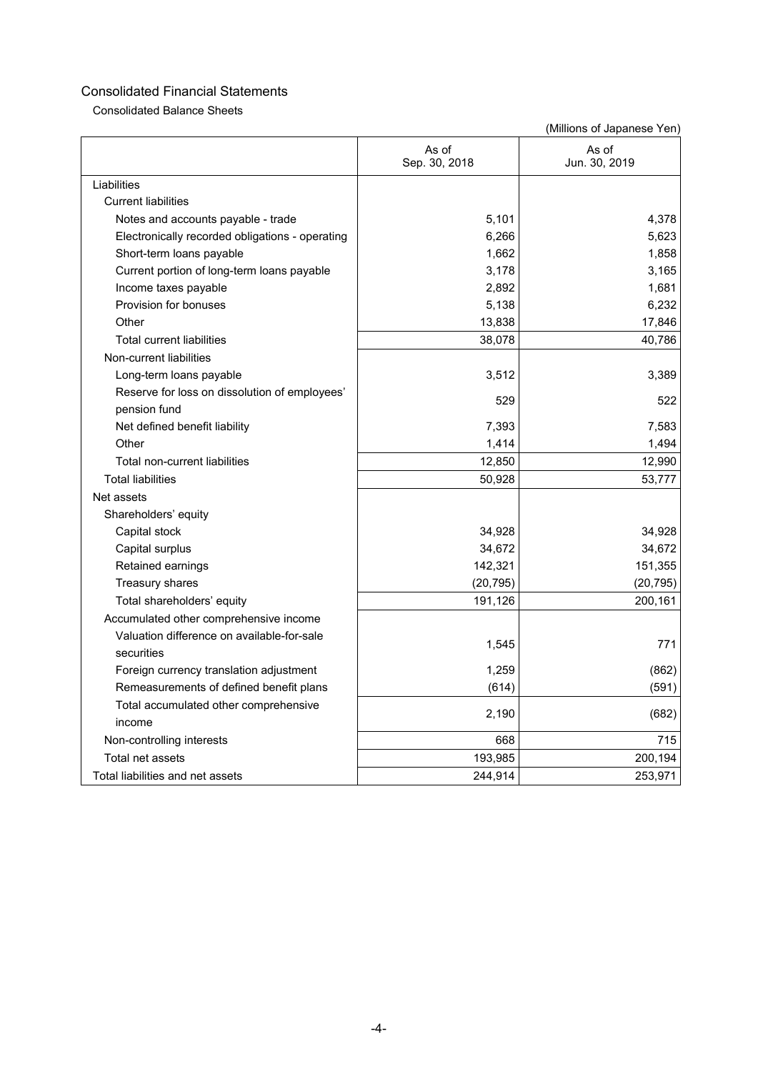Consolidated Balance Sheets

|                                                               | As of<br>Sep. 30, 2018 | As of<br>Jun. 30, 2019 |
|---------------------------------------------------------------|------------------------|------------------------|
| Liabilities                                                   |                        |                        |
| <b>Current liabilities</b>                                    |                        |                        |
| Notes and accounts payable - trade                            | 5,101                  | 4,378                  |
| Electronically recorded obligations - operating               | 6,266                  | 5,623                  |
| Short-term loans payable                                      | 1,662                  | 1,858                  |
| Current portion of long-term loans payable                    | 3,178                  | 3,165                  |
| Income taxes payable                                          | 2,892                  | 1,681                  |
| Provision for bonuses                                         | 5,138                  | 6,232                  |
| Other                                                         | 13,838                 | 17,846                 |
| <b>Total current liabilities</b>                              | 38,078                 | 40,786                 |
| Non-current liabilities                                       |                        |                        |
| Long-term loans payable                                       | 3,512                  | 3,389                  |
| Reserve for loss on dissolution of employees'<br>pension fund | 529                    | 522                    |
| Net defined benefit liability                                 | 7,393                  | 7,583                  |
| Other                                                         | 1,414                  | 1,494                  |
| Total non-current liabilities                                 | 12,850                 | 12,990                 |
| <b>Total liabilities</b>                                      | 50,928                 | 53,777                 |
| Net assets                                                    |                        |                        |
| Shareholders' equity                                          |                        |                        |
| Capital stock                                                 | 34,928                 | 34,928                 |
| Capital surplus                                               | 34,672                 | 34,672                 |
| Retained earnings                                             | 142,321                | 151,355                |
| Treasury shares                                               | (20, 795)              | (20, 795)              |
| Total shareholders' equity                                    | 191,126                | 200,161                |
| Accumulated other comprehensive income                        |                        |                        |
| Valuation difference on available-for-sale<br>securities      | 1,545                  | 771                    |
| Foreign currency translation adjustment                       | 1,259                  | (862)                  |
| Remeasurements of defined benefit plans                       | (614)                  | (591)                  |
| Total accumulated other comprehensive<br>income               | 2,190                  | (682)                  |
| Non-controlling interests                                     | 668                    | 715                    |
| Total net assets                                              | 193,985                | 200,194                |
| Total liabilities and net assets                              | 244,914                | 253,971                |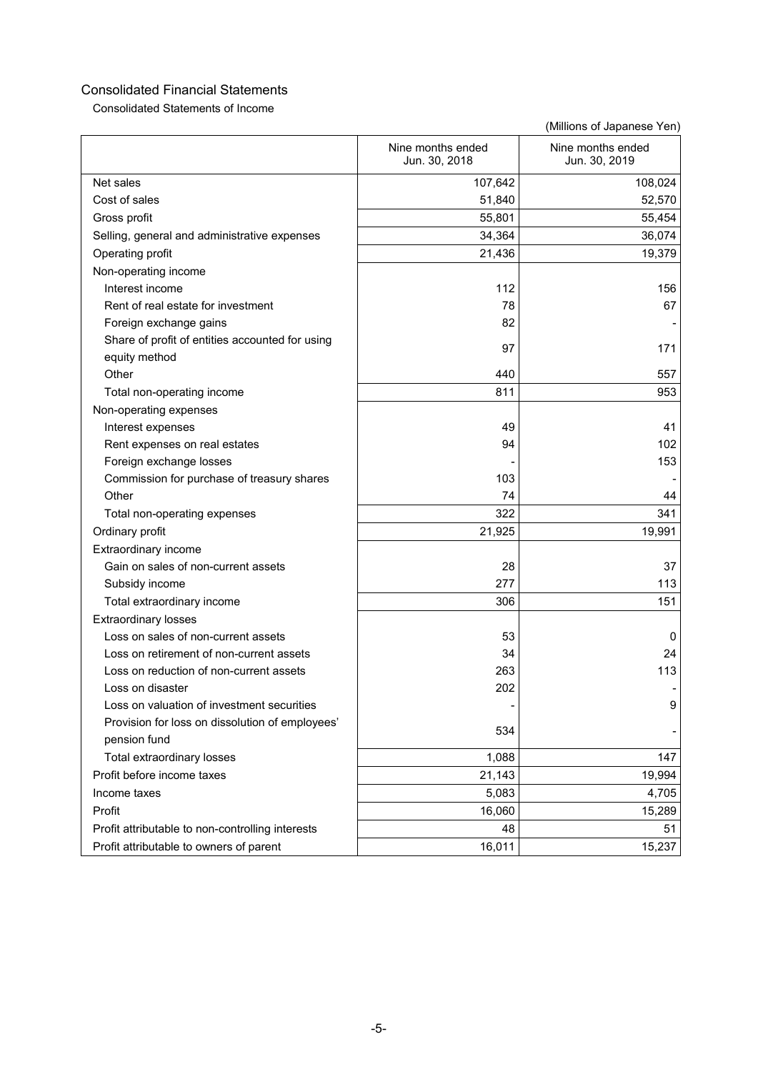Consolidated Statements of Income

|                                                  | Nine months ended<br>Jun. 30, 2018 | Nine months ended<br>Jun. 30, 2019 |
|--------------------------------------------------|------------------------------------|------------------------------------|
| Net sales                                        | 107,642                            | 108,024                            |
| Cost of sales                                    | 51,840                             | 52,570                             |
| Gross profit                                     | 55,801                             | 55,454                             |
| Selling, general and administrative expenses     | 34,364                             | 36,074                             |
| Operating profit                                 | 21,436                             | 19,379                             |
| Non-operating income                             |                                    |                                    |
| Interest income                                  | 112                                | 156                                |
| Rent of real estate for investment               | 78                                 | 67                                 |
| Foreign exchange gains                           | 82                                 |                                    |
| Share of profit of entities accounted for using  | 97                                 | 171                                |
| equity method                                    |                                    |                                    |
| Other                                            | 440                                | 557                                |
| Total non-operating income                       | 811                                | 953                                |
| Non-operating expenses                           |                                    |                                    |
| Interest expenses                                | 49                                 | 41                                 |
| Rent expenses on real estates                    | 94                                 | 102                                |
| Foreign exchange losses                          |                                    | 153                                |
| Commission for purchase of treasury shares       | 103                                |                                    |
| Other                                            | 74                                 | 44                                 |
| Total non-operating expenses                     | 322                                | 341                                |
| Ordinary profit                                  | 21,925                             | 19,991                             |
| Extraordinary income                             |                                    |                                    |
| Gain on sales of non-current assets              | 28                                 | 37                                 |
| Subsidy income                                   | 277                                | 113                                |
| Total extraordinary income                       | 306                                | 151                                |
| <b>Extraordinary losses</b>                      |                                    |                                    |
| Loss on sales of non-current assets              | 53                                 | 0                                  |
| Loss on retirement of non-current assets         | 34                                 | 24                                 |
| Loss on reduction of non-current assets          | 263                                | 113                                |
| Loss on disaster                                 | 202                                |                                    |
| Loss on valuation of investment securities       |                                    | 9                                  |
| Provision for loss on dissolution of employees'  | 534                                |                                    |
| pension fund                                     |                                    |                                    |
| Total extraordinary losses                       | 1,088                              | 147                                |
| Profit before income taxes                       | 21,143                             | 19,994                             |
| Income taxes                                     | 5,083                              | 4,705                              |
| Profit                                           | 16,060                             | 15,289                             |
| Profit attributable to non-controlling interests | 48                                 | 51                                 |
| Profit attributable to owners of parent          | 16,011                             | 15,237                             |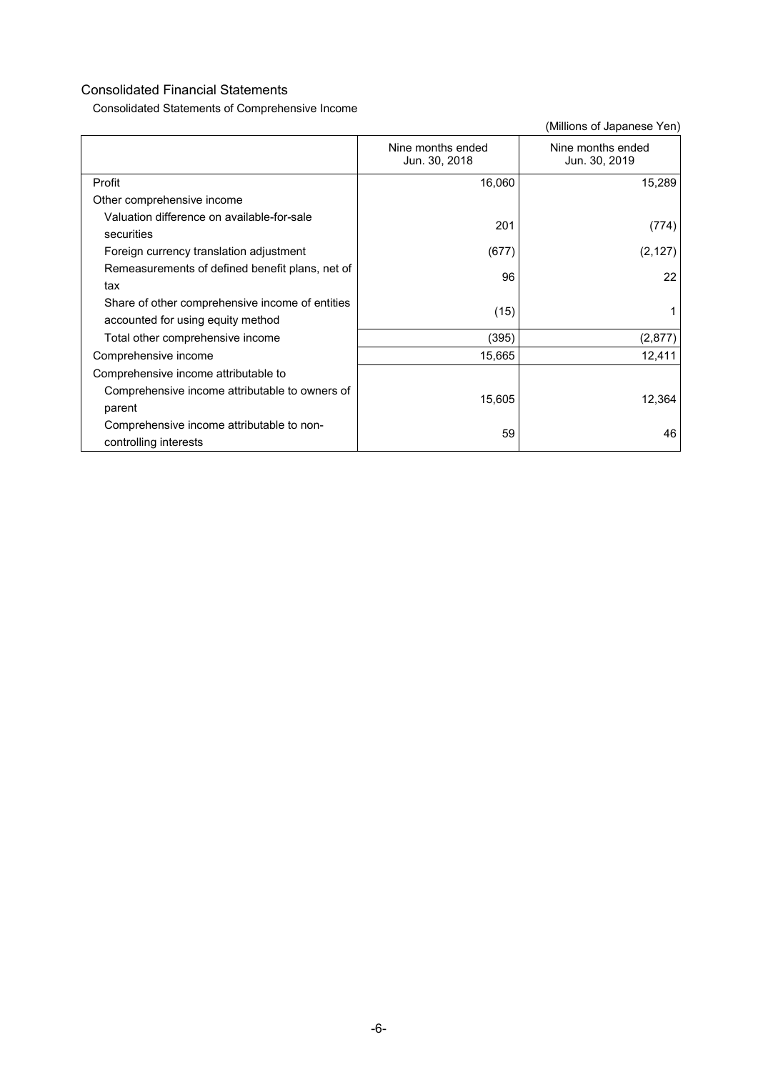Consolidated Statements of Comprehensive Income

|                                                                                      | Nine months ended<br>Jun. 30, 2018 | Nine months ended<br>Jun. 30, 2019 |
|--------------------------------------------------------------------------------------|------------------------------------|------------------------------------|
| Profit                                                                               | 16,060                             | 15,289                             |
| Other comprehensive income                                                           |                                    |                                    |
| Valuation difference on available-for-sale<br>securities                             | 201                                | (774)                              |
| Foreign currency translation adjustment                                              | (677)                              | (2, 127)                           |
| Remeasurements of defined benefit plans, net of<br>tax                               | 96                                 | 22                                 |
| Share of other comprehensive income of entities<br>accounted for using equity method | (15)                               |                                    |
| Total other comprehensive income                                                     | (395)                              | (2, 877)                           |
| Comprehensive income                                                                 | 15,665                             | 12,411                             |
| Comprehensive income attributable to                                                 |                                    |                                    |
| Comprehensive income attributable to owners of<br>parent                             | 15,605                             | 12,364                             |
| Comprehensive income attributable to non-<br>controlling interests                   | 59                                 | 46                                 |